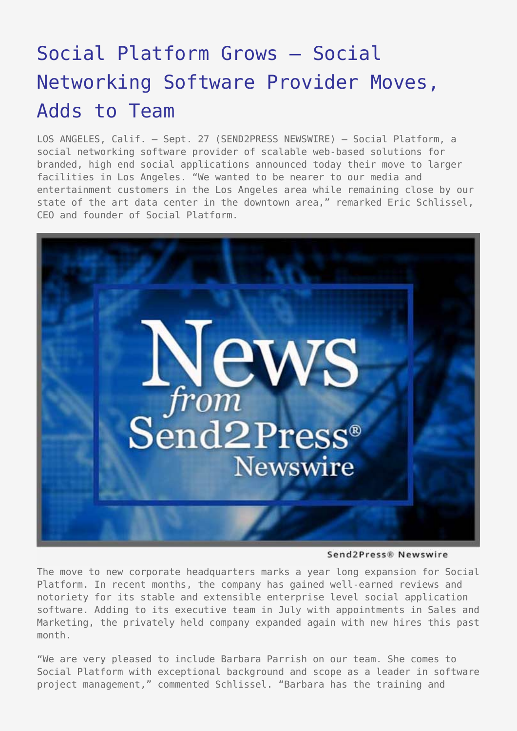## [Social Platform Grows – Social](https://www.send2press.com/wire/2007-09-0927-004/) [Networking Software Provider Moves,](https://www.send2press.com/wire/2007-09-0927-004/) [Adds to Team](https://www.send2press.com/wire/2007-09-0927-004/)

LOS ANGELES, Calif. – Sept. 27 (SEND2PRESS NEWSWIRE) — Social Platform, a social networking software provider of scalable web-based solutions for branded, high end social applications announced today their move to larger facilities in Los Angeles. "We wanted to be nearer to our media and entertainment customers in the Los Angeles area while remaining close by our state of the art data center in the downtown area," remarked Eric Schlissel, CEO and founder of Social Platform.



Send2Press® Newswire

The move to new corporate headquarters marks a year long expansion for Social Platform. In recent months, the company has gained well-earned reviews and notoriety for its stable and extensible enterprise level social application software. Adding to its executive team in July with appointments in Sales and Marketing, the privately held company expanded again with new hires this past month.

"We are very pleased to include Barbara Parrish on our team. She comes to Social Platform with exceptional background and scope as a leader in software project management," commented Schlissel. "Barbara has the training and